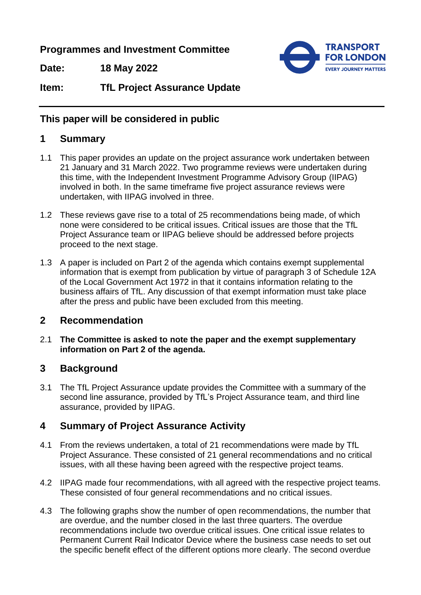**Programmes and Investment Committee**

**Date: 18 May 2022**



**Item: TfL Project Assurance Update**

# **This paper will be considered in public**

# **1 Summary**

- 1.1 This paper provides an update on the project assurance work undertaken between 21 January and 31 March 2022. Two programme reviews were undertaken during this time, with the Independent Investment Programme Advisory Group (IIPAG) involved in both. In the same timeframe five project assurance reviews were undertaken, with IIPAG involved in three.
- 1.2 These reviews gave rise to a total of 25 recommendations being made, of which none were considered to be critical issues. Critical issues are those that the TfL Project Assurance team or IIPAG believe should be addressed before projects proceed to the next stage.
- 1.3 A paper is included on Part 2 of the agenda which contains exempt supplemental information that is exempt from publication by virtue of paragraph 3 of Schedule 12A of the Local Government Act 1972 in that it contains information relating to the business affairs of TfL. Any discussion of that exempt information must take place after the press and public have been excluded from this meeting.

# **2 Recommendation**

2.1 **The Committee is asked to note the paper and the exempt supplementary information on Part 2 of the agenda.**

# **3 Background**

3.1 The TfL Project Assurance update provides the Committee with a summary of the second line assurance, provided by TfL's Project Assurance team, and third line assurance, provided by IIPAG.

# **4 Summary of Project Assurance Activity**

- 4.1 From the reviews undertaken, a total of 21 recommendations were made by TfL Project Assurance. These consisted of 21 general recommendations and no critical issues, with all these having been agreed with the respective project teams.
- 4.2 IIPAG made four recommendations, with all agreed with the respective project teams. These consisted of four general recommendations and no critical issues.
- 4.3 The following graphs show the number of open recommendations, the number that are overdue, and the number closed in the last three quarters. The overdue recommendations include two overdue critical issues. One critical issue relates to Permanent Current Rail Indicator Device where the business case needs to set out the specific benefit effect of the different options more clearly. The second overdue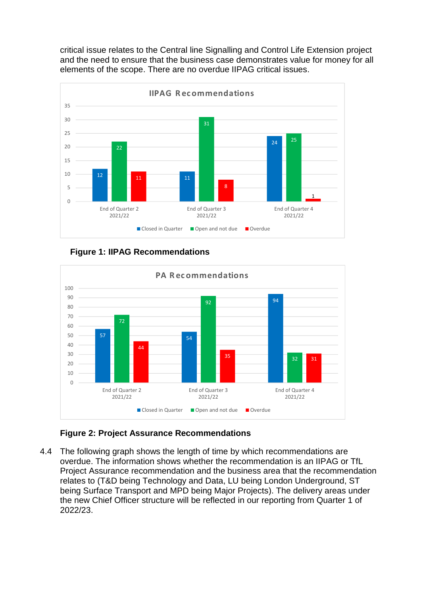critical issue relates to the Central line Signalling and Control Life Extension project and the need to ensure that the business case demonstrates value for money for all elements of the scope. There are no overdue IIPAG critical issues.



**Figure 1: IIPAG Recommendations**



### **Figure 2: Project Assurance Recommendations**

4.4 The following graph shows the length of time by which recommendations are overdue. The information shows whether the recommendation is an IIPAG or TfL Project Assurance recommendation and the business area that the recommendation relates to (T&D being Technology and Data, LU being London Underground, ST being Surface Transport and MPD being Major Projects). The delivery areas under the new Chief Officer structure will be reflected in our reporting from Quarter 1 of 2022/23.